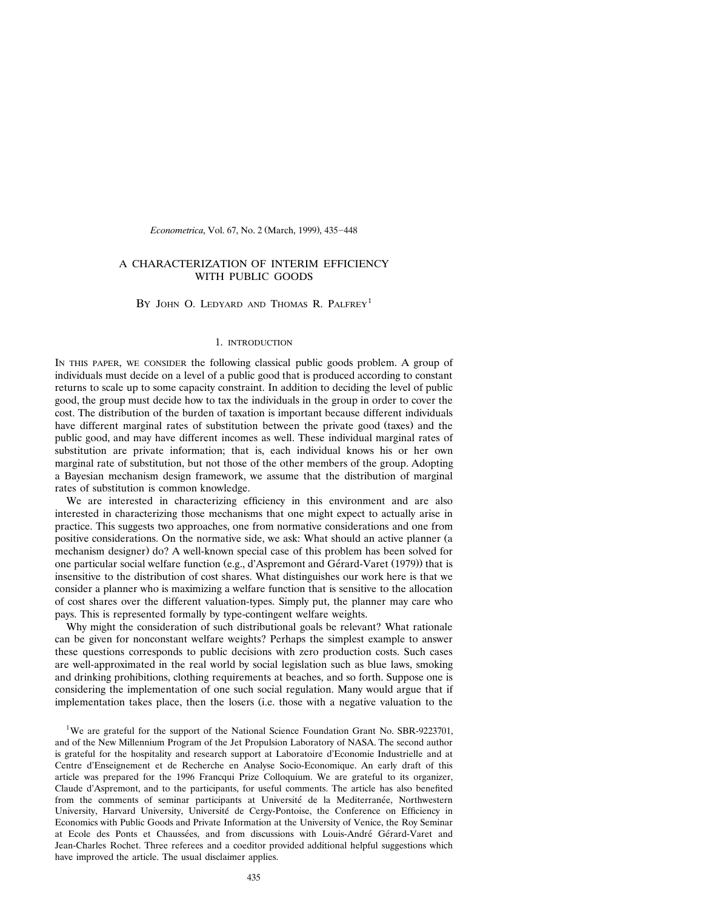## A CHARACTERIZATION OF INTERIM EFFICIENCY WITH PUBLIC GOODS

# BY JOHN O. LEDYARD AND THOMAS R. PALFREY<sup>1</sup>

#### 1. INTRODUCTION

IN THIS PAPER, WE CONSIDER the following classical public goods problem. A group of individuals must decide on a level of a public good that is produced according to constant returns to scale up to some capacity constraint. In addition to deciding the level of public good, the group must decide how to tax the individuals in the group in order to cover the cost. The distribution of the burden of taxation is important because different individuals have different marginal rates of substitution between the private good (taxes) and the public good, and may have different incomes as well. These individual marginal rates of substitution are private information; that is, each individual knows his or her own marginal rate of substitution, but not those of the other members of the group. Adopting a Bayesian mechanism design framework, we assume that the distribution of marginal rates of substitution is common knowledge.

We are interested in characterizing efficiency in this environment and are also interested in characterizing those mechanisms that one might expect to actually arise in practice. This suggests two approaches, one from normative considerations and one from positive considerations. On the normative side, we ask: What should an active planner (a mechanism designer) do? A well-known special case of this problem has been solved for one particular social welfare function (e.g., d'Aspremont and Gérard-Varet (1979)) that is insensitive to the distribution of cost shares. What distinguishes our work here is that we consider a planner who is maximizing a welfare function that is sensitive to the allocation of cost shares over the different valuation-types. Simply put, the planner may care who pays. This is represented formally by type-contingent welfare weights.

Why might the consideration of such distributional goals be relevant? What rationale can be given for nonconstant welfare weights? Perhaps the simplest example to answer these questions corresponds to public decisions with zero production costs. Such cases are well-approximated in the real world by social legislation such as blue laws, smoking and drinking prohibitions, clothing requirements at beaches, and so forth. Suppose one is considering the implementation of one such social regulation. Many would argue that if implementation takes place, then the losers (i.e. those with a negative valuation to the

<sup>1</sup>We are grateful for the support of the National Science Foundation Grant No. SBR-9223701, and of the New Millennium Program of the Jet Propulsion Laboratory of NASA. The second author is grateful for the hospitality and research support at Laboratoire d'Economie Industrielle and at Centre d'Enseignement et de Recherche en Analyse Socio-Economique. An early draft of this article was prepared for the 1996 Francqui Prize Colloquium. We are grateful to its organizer, Claude d'Aspremont, and to the participants, for useful comments. The article has also benefited from the comments of seminar participants at Université de la Mediterranée, Northwestern University, Harvard University, Université de Cergy-Pontoise, the Conference on Efficiency in Economics with Public Goods and Private Information at the University of Venice, the Roy Seminar at Ecole des Ponts et Chaussées, and from discussions with Louis-André Gérard-Varet and Jean-Charles Rochet. Three referees and a coeditor provided additional helpful suggestions which have improved the article. The usual disclaimer applies.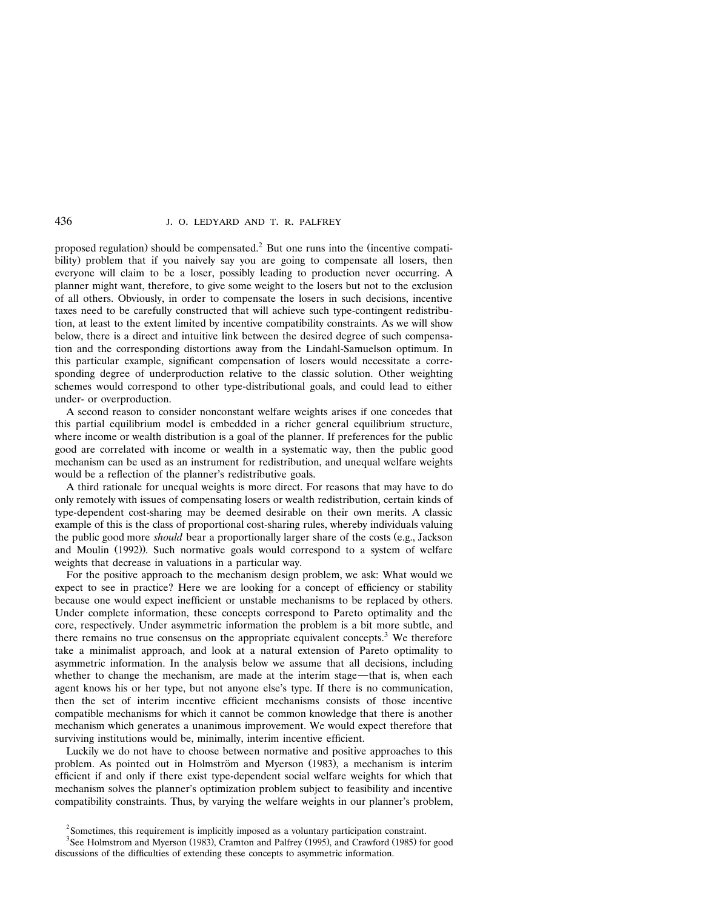proposed regulation) should be compensated.<sup>2</sup> But one runs into the (incentive compatibility) problem that if you naively say you are going to compensate all losers, then everyone will claim to be a loser, possibly leading to production never occurring. A planner might want, therefore, to give some weight to the losers but not to the exclusion of all others. Obviously, in order to compensate the losers in such decisions, incentive taxes need to be carefully constructed that will achieve such type-contingent redistribution, at least to the extent limited by incentive compatibility constraints. As we will show below, there is a direct and intuitive link between the desired degree of such compensation and the corresponding distortions away from the Lindahl-Samuelson optimum. In this particular example, significant compensation of losers would necessitate a corresponding degree of underproduction relative to the classic solution. Other weighting schemes would correspond to other type-distributional goals, and could lead to either under- or overproduction.

A second reason to consider nonconstant welfare weights arises if one concedes that this partial equilibrium model is embedded in a richer general equilibrium structure, where income or wealth distribution is a goal of the planner. If preferences for the public good are correlated with income or wealth in a systematic way, then the public good mechanism can be used as an instrument for redistribution, and unequal welfare weights would be a reflection of the planner's redistributive goals.

A third rationale for unequal weights is more direct. For reasons that may have to do only remotely with issues of compensating losers or wealth redistribution, certain kinds of type-dependent cost-sharing may be deemed desirable on their own merits. A classic example of this is the class of proportional cost-sharing rules, whereby individuals valuing the public good more *should* bear a proportionally larger share of the costs (e.g., Jackson and Moulin (1992)). Such normative goals would correspond to a system of welfare weights that decrease in valuations in a particular way.

For the positive approach to the mechanism design problem, we ask: What would we expect to see in practice? Here we are looking for a concept of efficiency or stability because one would expect inefficient or unstable mechanisms to be replaced by others. Under complete information, these concepts correspond to Pareto optimality and the core, respectively. Under asymmetric information the problem is a bit more subtle, and there remains no true consensus on the appropriate equivalent concepts.<sup>3</sup> We therefore take a minimalist approach, and look at a natural extension of Pareto optimality to asymmetric information. In the analysis below we assume that all decisions, including whether to change the mechanism, are made at the interim stage—that is, when each agent knows his or her type, but not anyone else's type. If there is no communication, then the set of interim incentive efficient mechanisms consists of those incentive compatible mechanisms for which it cannot be common knowledge that there is another mechanism which generates a unanimous improvement. We would expect therefore that surviving institutions would be, minimally, interim incentive efficient.

Luckily we do not have to choose between normative and positive approaches to this problem. As pointed out in Holmström and Myerson (1983), a mechanism is interim efficient if and only if there exist type-dependent social welfare weights for which that mechanism solves the planner's optimization problem subject to feasibility and incentive compatibility constraints. Thus, by varying the welfare weights in our planner's problem,

 $2$ Sometimes, this requirement is implicitly imposed as a voluntary participation constraint.

<sup>&</sup>lt;sup>3</sup>See Holmstrom and Myerson (1983), Cramton and Palfrey (1995), and Crawford (1985) for good discussions of the difficulties of extending these concepts to asymmetric information.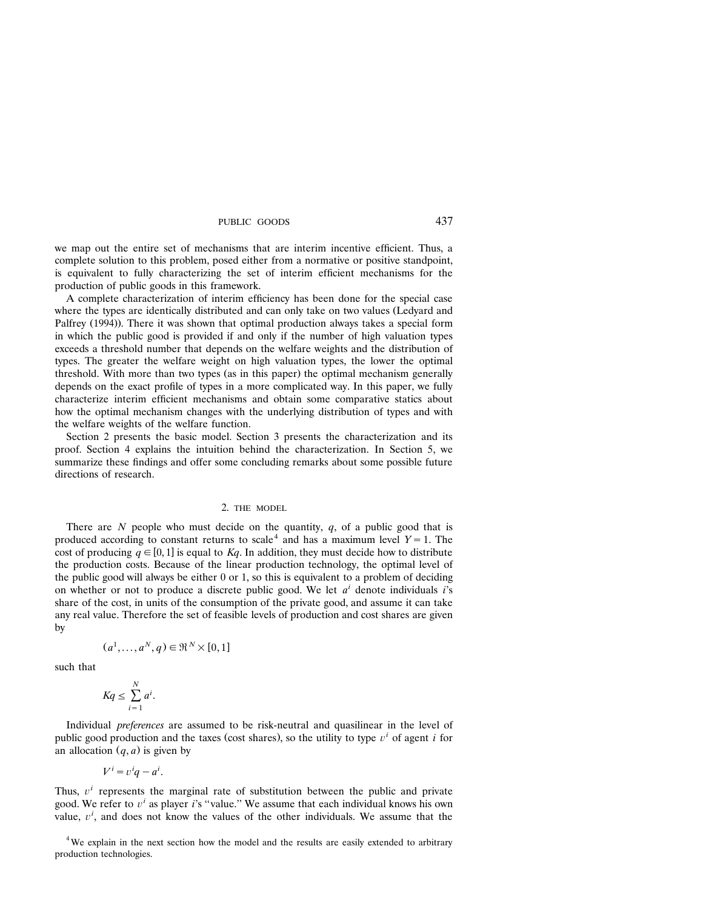we map out the entire set of mechanisms that are interim incentive efficient. Thus, a complete solution to this problem, posed either from a normative or positive standpoint, is equivalent to fully characterizing the set of interim efficient mechanisms for the production of public goods in this framework.

A complete characterization of interim efficiency has been done for the special case where the types are identically distributed and can only take on two values (Ledyard and Palfrey (1994). There it was shown that optimal production always takes a special form in which the public good is provided if and only if the number of high valuation types exceeds a threshold number that depends on the welfare weights and the distribution of types. The greater the welfare weight on high valuation types, the lower the optimal threshold. With more than two types (as in this paper) the optimal mechanism generally depends on the exact profile of types in a more complicated way. In this paper, we fully characterize interim efficient mechanisms and obtain some comparative statics about how the optimal mechanism changes with the underlying distribution of types and with the welfare weights of the welfare function.

Section 2 presents the basic model. Section 3 presents the characterization and its proof. Section 4 explains the intuition behind the characterization. In Section 5, we summarize these findings and offer some concluding remarks about some possible future directions of research.

#### 2. THE MODEL

There are  $N$  people who must decide on the quantity,  $q$ , of a public good that is produced according to constant returns to scale<sup>4</sup> and has a maximum level  $Y = 1$ . The cost of producing  $q \in [0, 1]$  is equal to *Kq*. In addition, they must decide how to distribute the production costs. Because of the linear production technology, the optimal level of the public good will always be either 0 or 1, so this is equivalent to a problem of deciding on whether or not to produce a discrete public good. We let *a<sup>i</sup>* denote individuals *i*'s share of the cost, in units of the consumption of the private good, and assume it can take any real value. Therefore the set of feasible levels of production and cost shares are given by

$$
(a^1,\ldots,a^N,q)\in\Re^N\times[0,1]
$$

such that

$$
Kq \le \sum_{i=1}^N a^i.
$$

Individual *preferences* are assumed to be risk-neutral and quasilinear in the level of public good production and the taxes (cost shares), so the utility to type  $v^i$  of agent *i* for an allocation  $(q, a)$  is given by

$$
V^i = v^i q - a^i.
$$

Thus,  $v<sup>i</sup>$  represents the marginal rate of substitution between the public and private good. We refer to  $v^i$  as player *i*'s "value." We assume that each individual knows his own value,  $v^i$ , and does not know the values of the other individuals. We assume that the

<sup>4</sup>We explain in the next section how the model and the results are easily extended to arbitrary production technologies.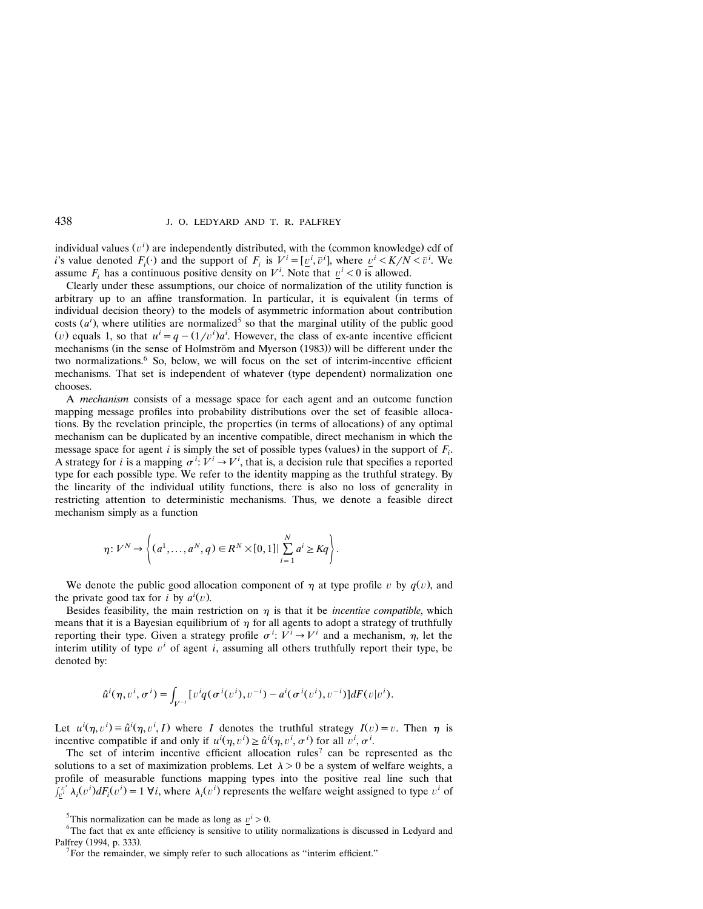individual values  $(v^{i})$  are independently distributed, with the (common knowledge) cdf of *i*'s value denoted  $F_i(\cdot)$  and the support of  $F_i$  is  $V^i = [\underline{v}^i, \overline{v}^i]$ , where  $\underline{v}^i < K/N < \overline{v}^i$ . We assume  $F_i$  has a continuous positive density on  $V^i$ . Note that  $v^i < 0$  is allowed.

Clearly under these assumptions, our choice of normalization of the utility function is arbitrary up to an affine transformation. In particular, it is equivalent (in terms of individual decision theory) to the models of asymmetric information about contribution costs  $(a^i)$ , where utilities are normalized<sup>5</sup> so that the marginal utility of the public good (*v*) equals 1, so that  $u^{i} = q - (1/v^{i})a^{i}$ . However, the class of ex-ante incentive efficient mechanisms (in the sense of Holmström and Myerson (1983)) will be different under the two normalizations.<sup>6</sup> So, below, we will focus on the set of interim-incentive efficient mechanisms. That set is independent of whatever (type dependent) normalization one chooses.

A *mechanism* consists of a message space for each agent and an outcome function mapping message profiles into probability distributions over the set of feasible allocations. By the revelation principle, the properties (in terms of allocations) of any optimal mechanism can be duplicated by an incentive compatible, direct mechanism in which the message space for agent *i* is simply the set of possible types (values) in the support of  $F_i$ . A strategy for *i* is a mapping  $\sigma^i: V^i \to V^i$ , that is, a decision rule that specifies a reported type for each possible type. We refer to the identity mapping as the truthful strategy. By the linearity of the individual utility functions, there is also no loss of generality in restricting attention to deterministic mechanisms. Thus, we denote a feasible direct mechanism simply as a function

$$
\eta\colon V^N\to\left\{(a^1,\ldots,a^N,q)\in R^N\times[0,1]|\sum_{i=1}^N a^i\geq Kq\right\}.
$$

We denote the public good allocation component of  $\eta$  at type profile v by  $q(v)$ , and the private good tax for *i* by  $a^{i}(v)$ .

Besides feasibility, the main restriction on  $\eta$  is that it be *incentive compatible*, which means that it is a Bayesian equilibrium of  $\eta$  for all agents to adopt a strategy of truthfully reporting their type. Given a strategy profile  $\sigma^i$ :  $V^i \rightarrow V^i$  and a mechanism,  $\eta$ , let the interim utility of type  $v^i$  of agent *i*, assuming all others truthfully report their type, be denoted by:

$$
\hat{u}^i(\eta, v^i, \sigma^i) = \int_{V^{-i}} \left[ v^i q(\sigma^i(v^i), v^{-i}) - a^i(\sigma^i(v^i), v^{-i}) \right] dF(v|v^i).
$$

Let  $u^{i}(\eta, v^{i}) \equiv \hat{u}^{i}(\eta, v^{i}, I)$  where *I* denotes the truthful strategy  $I(v) = v$ . Then  $\eta$  is incentive compatible if and only if  $u^{i}(\eta, v^{i}) \ge \hat{u}^{i}(\eta, u^{i}, \sigma^{i})$  for all  $v^{i}, \sigma^{i}$ incentive compatible if and only if  $u^i(\eta, v^i) \ge \hat{u}^i(\eta, v^i, \sigma^i)$  for all  $v^i, \sigma^i$ .

The set of interim incentive efficient allocation rules<sup>7</sup> can be represented as the solutions to a set of maximization problems. Let  $\lambda > 0$  be a system of welfare weights, a profile of measurable functions mapping types into the positive real line such that  $\int_{\underline{v}^i}^{\underline{v}^i} \lambda_i(v^i) dF_i(v^i) = 1 \ \forall i$ , where  $\lambda_i(v^i)$  represents the welfare weight assigned to type  $v^i$  of

<sup>&</sup>lt;sup>5</sup>This normalization can be made as long as  $\frac{v^i}{s} > 0$ .

<sup>&</sup>lt;sup>6</sup>The fact that ex ante efficiency is sensitive to utility normalizations is discussed in Ledyard and Palfrey (1994, p. 333).

 $T^{\dagger}$  For the remainder, we simply refer to such allocations as "interim efficient."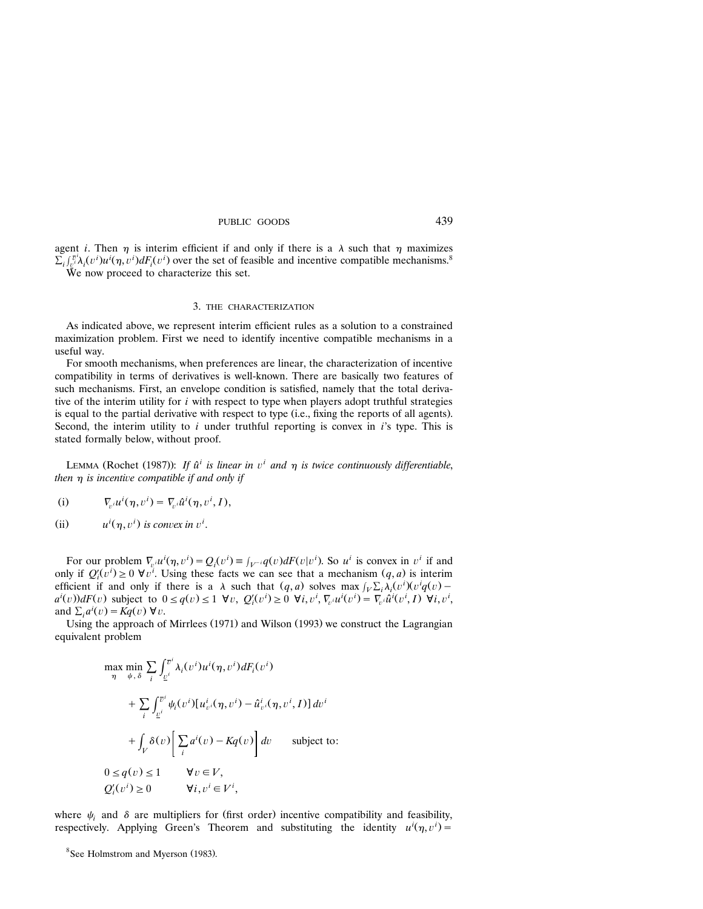agent *i*. Then  $\eta$  is interim efficient if and only if there is a  $\lambda$  such that  $\eta$  maximizes  $\sum_i \int_{\alpha_i}^{\vec{v}^i} \lambda_i(v^i) u^i(\eta, v^i) dF_i(v^i)$  over the set of feasible and incentive compatible mechanisms.<sup>8</sup> We now proceed to characterize this set.

### 3. THE CHARACTERIZATION

As indicated above, we represent interim efficient rules as a solution to a constrained maximization problem. First we need to identify incentive compatible mechanisms in a useful way.

For smooth mechanisms, when preferences are linear, the characterization of incentive compatibility in terms of derivatives is well-known. There are basically two features of such mechanisms. First, an envelope condition is satisfied, namely that the total derivative of the interim utility for *i* with respect to type when players adopt truthful strategies is equal to the partial derivative with respect to type (i.e., fixing the reports of all agents). Second, the interim utility to *i* under truthful reporting is convex in *i*'s type. This is stated formally below, without proof.

LEMMA (Rochet (1987)): *If*  $\hat{u}^i$  *is linear in*  $v^i$  *and*  $\eta$  *is twice continuously differentiable*, *then is incentie compatible if and only if*

(i) 
$$
\nabla_{v_i} u^i(\eta, v^i) = \nabla_{v_i} \hat{u}^i(\eta, v^i, I),
$$

(ii) 
$$
u^{i}(\eta, v^{i}) \text{ is convex in } v^{i}.
$$

For our problem  $\nabla_{\nu} u^i(\eta, v^i) = Q_i(v^i) \equiv \int_{V^{-i}} q(v) dF(v|v^i)$ . So  $u^i$  is convex in  $v^i$  if and only if  $Q_i^i(v^i) \ge 0$   $\forall v^i$ . Using these facts we can see that a mechanism  $(q, a)$  is interim efficient if and only if there is a  $\lambda$  such that  $(q, a)$  solves max  $\int_V \sum_i \lambda_i (v^i)(v^i q(v) - a^i(v)) dE(v)$  subject to  $0 \leq q(v) \leq 1$   $\forall v$ ,  $Q'(v^i) > 0$   $\forall i$   $v^i \nabla_i u^i(v^i) - \nabla_i \hat{q}(v^i) \nabla_i u^i$   $v^i$  $a^i(v)$ )dF(v) subject to  $0 \le q(v) \le 1$   $\forall v, Q'_i(v^i) \ge 0$   $\forall i, v^i, \nabla_v u^i(v^i) = \nabla_v u^i(v^i, I)$   $\forall i, v^i$ , and  $\sum_i a^i(v) = Kq(v)$   $\forall v$ .

Using the approach of Mirrlees (1971) and Wilson (1993) we construct the Lagrangian equivalent problem

$$
\max_{\eta} \min_{\psi, \delta} \sum_{i} \int_{\underline{v}^{i}}^{\overline{v}^{i}} \lambda_{i}(v^{i}) u^{i}(\eta, v^{i}) dF_{i}(v^{i})
$$
\n
$$
+ \sum_{i} \int_{\underline{v}^{i}}^{\overline{v}^{i}} \psi_{i}(v^{i}) [u_{v}^{i}(\eta, v^{i}) - \hat{u}_{v}^{i}(\eta, v^{i}, I)] dv^{i}
$$
\n
$$
+ \int_{V} \delta(v) \left[ \sum_{i} a^{i}(v) - Kq(v) \right] dv \qquad \text{subject to:}
$$
\n
$$
0 \leq q(v) \leq 1 \qquad \forall v \in V,
$$
\n
$$
Q'_{i}(v^{i}) \geq 0 \qquad \forall i, v^{i} \in V^{i},
$$

where  $\psi_i$  and  $\delta$  are multipliers for (first order) incentive compatibility and feasibility,  $\psi^i(x, y^i)$  – respectively. Applying Green's Theorem and substituting the identity  $u^{i}(\eta, v^{i}) =$ 

<sup>&</sup>lt;sup>8</sup>See Holmstrom and Myerson (1983).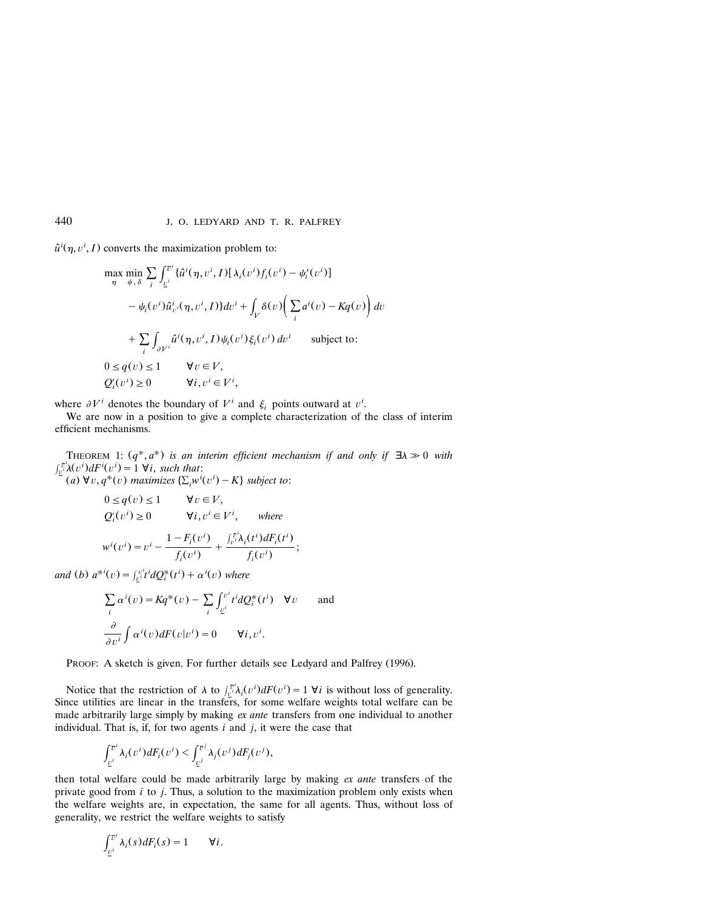$\hat{u}^i(\eta, v^i, I)$  converts the maximization problem to:

$$
\max_{\eta} \min_{\psi, \delta} \sum_{i} \int_{\underline{v}^{i}}^{\overline{v}^{i}} \{\hat{u}^{i}(\eta, v^{i}, I)[\lambda_{i}(v^{i})f_{i}(v^{i}) - \psi'_{i}(v^{i})] - \psi_{i}(v^{i})\}\
$$

$$
- \psi_{i}(v^{i})\hat{u}^{i}_{v}(\eta, v^{i}, I)\}dv^{i} + \int_{V} \delta(v) \left(\sum_{i} a^{i}(v) - Kq(v)\right)dv
$$

$$
+ \sum_{i} \int_{\partial V^{i}} \hat{u}^{i}(\eta, v^{i}, I)\psi_{i}(v^{i})\xi_{i}(v^{i}) dv^{i} \qquad \text{subject to:}
$$

$$
0 \leq q(v) \leq 1 \qquad \forall v \in V,
$$

$$
Q'_{i}(v^{i}) \geq 0 \qquad \forall i, v^{i} \in V^{i},
$$

where  $\partial V^i$  denotes the boundary of  $V^i$  and  $\xi_i$  points outward at  $v^i$ .

We are now in a position to give a complete characterization of the class of interim efficient mechanisms.

THEOREM 1:  $(q^*, a^*)$  is an interim efficient mechanism if and only if  $\exists \lambda \gg 0$  with  $\int_{v_i}^{\overline{v}^i} \lambda(v^i) dF^i(v^i) = 1 \ \forall i$ , *such that*:

 $(a) \forall v, q^*(v)$  maximizes  $\{\sum_i w^i(v^i) - K\}$  subject to:

$$
0 \le q(v) \le 1 \qquad \forall v \in V,
$$
  
\n
$$
Q_i'(v^i) \ge 0 \qquad \forall i, v^i \in V^i, \qquad \text{where}
$$
  
\n
$$
w^i(v^i) = v^i - \frac{1 - F_i(v^i)}{f_i(v^i)} + \frac{\int_v^{\overline{v}^i} \lambda_i(t^i) dF_i(t^i)}{f_i(v^i)};
$$

and (b)  $a^{*i}(v) = \int_{v_i}^{v_i} t^i dQ_i^*(t^i) + \alpha^{i}(v)$  where

$$
\sum_{i} \alpha^{i}(v) = Kq^{*}(v) - \sum_{i} \int_{\underline{v}^{i}}^{v^{i}} t^{i} dQ_{i}^{*}(t^{i}) \quad \forall v \quad \text{and}
$$

$$
\frac{\partial}{\partial v^{i}} \int \alpha^{i}(v) dF(v|v^{i}) = 0 \quad \forall i, v^{i}.
$$

PROOF: A sketch is given. For further details see Ledyard and Palfrey (1996).

Notice that the restriction of  $\lambda$  to  $\int_{v}^{\bar{v}^i} \lambda_i(v^i) dF(v^i) = 1$   $\forall i$  is without loss of generality. Since utilities are linear in the transfers, for some welfare weights total welfare can be made arbitrarily large simply by making *ex ante* transfers from one individual to another individual. That is, if, for two agents *i* and *j*, it were the case that

$$
\int_{\underline{v}^i}^{\overline{v}^i} \lambda_i(v^i) dF_i(v^i) < \int_{\underline{v}^j}^{\overline{v}^j} \lambda_j(v^j) dF_j(v^j),
$$

then total welfare could be made arbitrarily large by making *ex ante* transfers of the private good from *i* to *j*. Thus, a solution to the maximization problem only exists when the welfare weights are, in expectation, the same for all agents. Thus, without loss of generality, we restrict the welfare weights to satisfy

$$
\int_{\underline{v}^i}^{\overline{v}^i} \lambda_i(s) dF_i(s) = 1 \qquad \forall i.
$$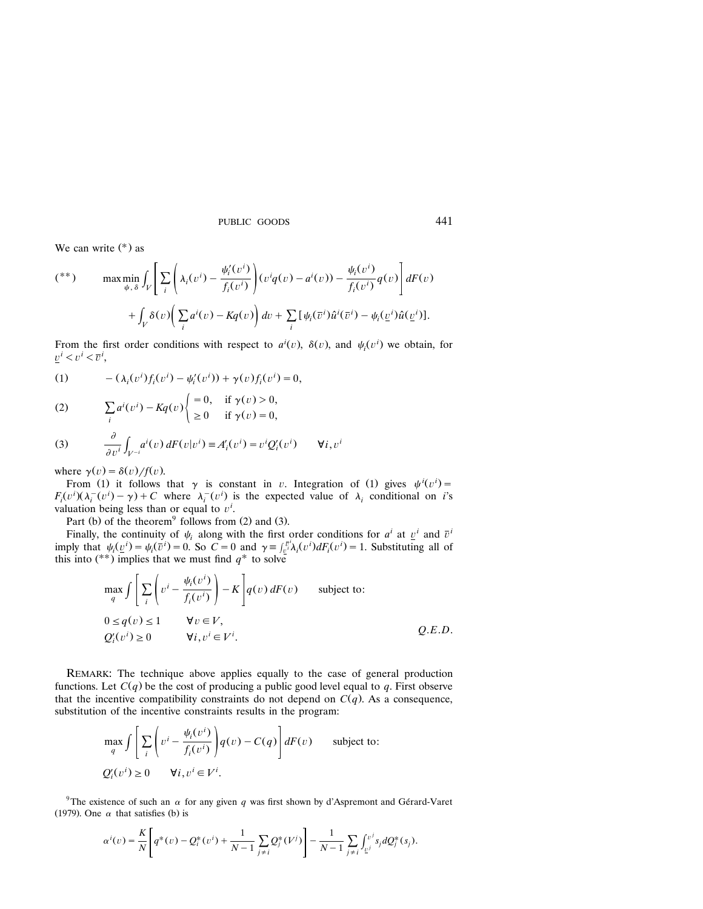We can write  $(*)$  as

$$
(**) \qquad \max \min_{\psi, \delta} \int_{V} \left[ \sum_{i} \left( \lambda_{i}(v^{i}) - \frac{\psi_{i}'(v^{i})}{f_{i}(v^{i})} \right) (v^{i}q(v) - a^{i}(v)) - \frac{\psi_{i}(v^{i})}{f_{i}(v^{i})} q(v) \right] dF(v) \right. \\ \left. + \int_{V} \delta(v) \left( \sum_{i} a^{i}(v) - Kq(v) \right) dv + \sum_{i} \left[ \psi_{i}(\bar{v}^{i}) \hat{u}^{i}(\bar{v}^{i}) - \psi_{i}(\underline{v}^{i}) \hat{u}(\underline{v}^{i}) \right].
$$

From the first order conditions with respect to  $a^i(v)$ ,  $\delta(v)$ , and  $\psi_i(v^i)$  we obtain, for  $v^i < v^i < \overline{v}^i$ .  $\underline{v}^i < v^i < \overline{v}^i$ ,

(1) 
$$
-(\lambda_i(v^i)f_i(v^i)-\psi'_i(v^i))+\gamma(v)f_i(v^i)=0,
$$

(2) 
$$
\sum_{i} a^{i}(v^{i}) - Kq(v) \begin{cases} = 0, & \text{if } \gamma(v) > 0, \\ \geq 0 & \text{if } \gamma(v) = 0, \end{cases}
$$

(3) 
$$
\frac{\partial}{\partial v^i} \int_{V^{-i}} a^i(v) dF(v|v^i) \equiv A'_i(v^i) = v^i Q'_i(v^i) \qquad \forall i, v^i
$$

where  $\gamma(v) = \delta(v) / f(v)$ .

From (1) it follows that  $\gamma$  is constant in v. Integration of (1) gives  $\psi^{i}(v^{i}) =$  $F_i(v^i)(\lambda_i^-(v^i) - \gamma) + C$  where  $\lambda_i^-(v^i)$  is the expected value of  $\lambda_i$  conditional on *i*'s valuation being less than or equal to  $v^i$ .

Part (b) of the theorem<sup>9</sup> follows from (2) and (3).<br>Finally, the continuity of  $\psi_i$  along with the first order conditions for  $a^i$  at  $\underline{v}^i$  and  $\overline{v}^i$ imply that  $\psi_i(v^i) = \psi_i(\overline{v}^i) = 0$ . So  $C = 0$  and  $\gamma \equiv \int_{v^i}^{v^i} \lambda_i(v^i) dF_i(v^i) = 1$ . Substituting all of this into  $(**)$  implies that we must find  $q^*$  to solve

$$
\max_{q} \int \left[ \sum_{i} \left( v^{i} - \frac{\psi_{i}(v^{i})}{f_{i}(v^{i})} \right) - K \right] q(v) dF(v) \quad \text{subject to:}
$$
  
  $0 \le q(v) \le 1 \qquad \forall v \in V,$   
  $Q'_{i}(v^{i}) \ge 0 \qquad \forall i, v^{i} \in V^{i}.$ 

REMARK: The technique above applies equally to the case of general production functions. Let  $C(q)$  be the cost of producing a public good level equal to q. First observe that the incentive compatibility constraints do not depend on  $C(q)$ . As a consequence, substitution of the incentive constraints results in the program:

$$
\max_{q} \int \left[ \sum_{i} \left( v^{i} - \frac{\psi_{i}(v^{i})}{f_{i}(v^{i})} \right) q(v) - C(q) \right] dF(v) \quad \text{subject to:}
$$
  

$$
Q'_{i}(v^{i}) \ge 0 \quad \forall i, v^{i} \in V^{i}.
$$

<sup>9</sup>The existence of such an  $\alpha$  for any given  $q$  was first shown by d'Aspremont and Gérard-Varet (1979). One  $\alpha$  that satisfies (b) is

$$
\alpha^{i}(v) = \frac{K}{N} \left[ q^{*}(v) - Q_{i}^{*}(v^{i}) + \frac{1}{N-1} \sum_{j \neq i} Q_{j}^{*}(V^{j}) \right] - \frac{1}{N-1} \sum_{j \neq i} \int_{\underline{v}^{j}}^{v^{j}} s_{j} dQ_{j}^{*}(s_{j}).
$$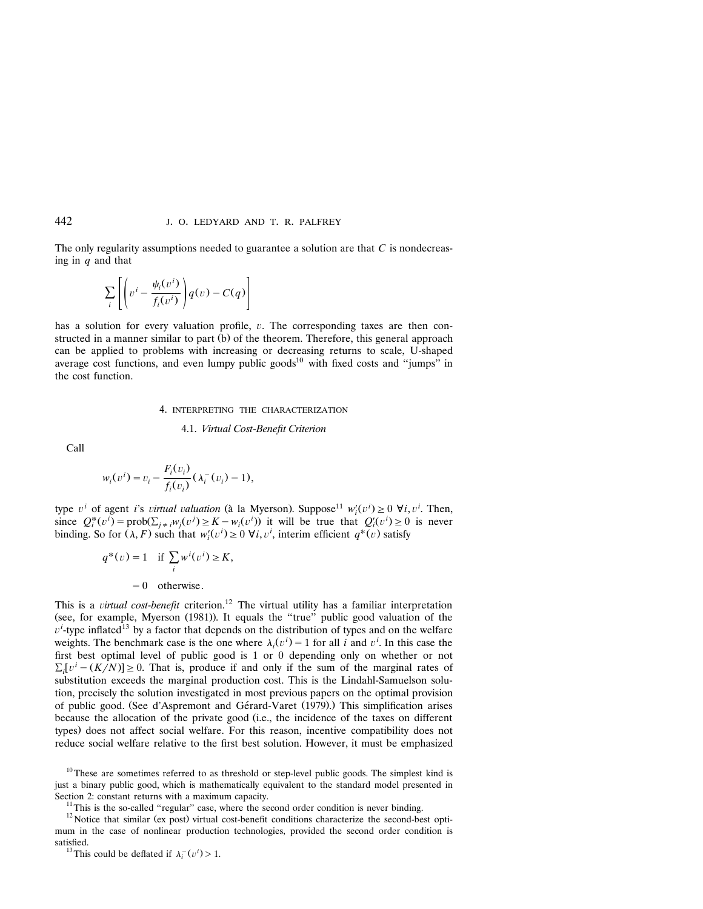The only regularity assumptions needed to guarantee a solution are that *C* is nondecreasing in *q* and that

$$
\sum_{i} \left[ \left( v^{i} - \frac{\psi_{i}(v^{i})}{f_{i}(v^{i})} \right) q(v) - C(q) \right]
$$

has a solution for every valuation profile,  $v$ . The corresponding taxes are then constructed in a manner similar to part (b) of the theorem. Therefore, this general approach can be applied to problems with increasing or decreasing returns to scale, U-shaped average cost functions, and even lumpy public goods<sup>10</sup> with fixed costs and "jumps" in the cost function.

#### 4. INTERPRETING THE CHARACTERIZATION

4.1. *Virtual Cost*-*Benefit Criterion*

Call

$$
w_i(v^i) = v_i - \frac{F_i(v_i)}{f_i(v_i)} (\lambda_i^-(v_i) - 1),
$$

type  $v^i$  of agent *i*'s *virtual valuation* (à la Myerson). Suppose<sup>11</sup>  $w_i'(v^i) \ge 0$   $\forall i, v^i$ . Then, since  $Q_i^*(v^i) = \text{prob}(\sum_{i \ne i} w_i(v^i) \ge K - w_i(v^i))$  it will be true that  $Q_i'(v^i) \ge 0$  is never since  $Q_i^*(v^i) = \text{prob}(\sum_{j \neq i} w_j(v^j) \geq K - w_i(v^i))$  it will be true that  $Q_i'(v^i) \geq 0$  is never binding. So for  $(\lambda, F)$  such that  $w_i'(v^i) \ge 0$   $\forall i, v^i$ , interim efficient  $q^*(v)$  satisfy

$$
q^*(v) = 1 \quad \text{if } \sum_i w^i(v^i) \ge K,
$$
  
= 0 otherwise.

This is a *virtual cost-benefit* criterion.<sup>12</sup> The virtual utility has a familiar interpretation (see, for example, Myerson (1981)). It equals the "true" public good valuation of the  $v^i$ -type inflated<sup>13</sup> by a factor that depends on the distribution of types and on the welfare weights. The benchmark case is the one where  $\lambda_i(v^i) = 1$  for all *i* and  $v^i$ . In this case the first best optimal level of public good is 1 or 0 depending only on whether or not  $\sum_i [v^i - (K/N)] \ge 0$ . That is, produce if and only if the sum of the marginal rates of substitution exceeds the marginal production cost. This is the Lindahl-Samuelson solution, precisely the solution investigated in most previous papers on the optimal provision of public good. (See d'Aspremont and Gérard-Varet (1979).) This simplification arises because the allocation of the private good (i.e., the incidence of the taxes on different types) does not affect social welfare. For this reason, incentive compatibility does not reduce social welfare relative to the first best solution. However, it must be emphasized

 $10$ <sup>10</sup>These are sometimes referred to as threshold or step-level public goods. The simplest kind is just a binary public good, which is mathematically equivalent to the standard model presented in Section 2: constant returns with a maximum capacity.<br> $^{11}$ This is the so-called "regular" case, where the second order condition is never binding.<br> $^{12}$ Notice that similar (ex post) virtual cost-benefit conditions chara

mum in the case of nonlinear production technologies, provided the second order condition is satisfied.<br><sup>13</sup> This could be deflated if  $\lambda_i^-(v^i) > 1$ .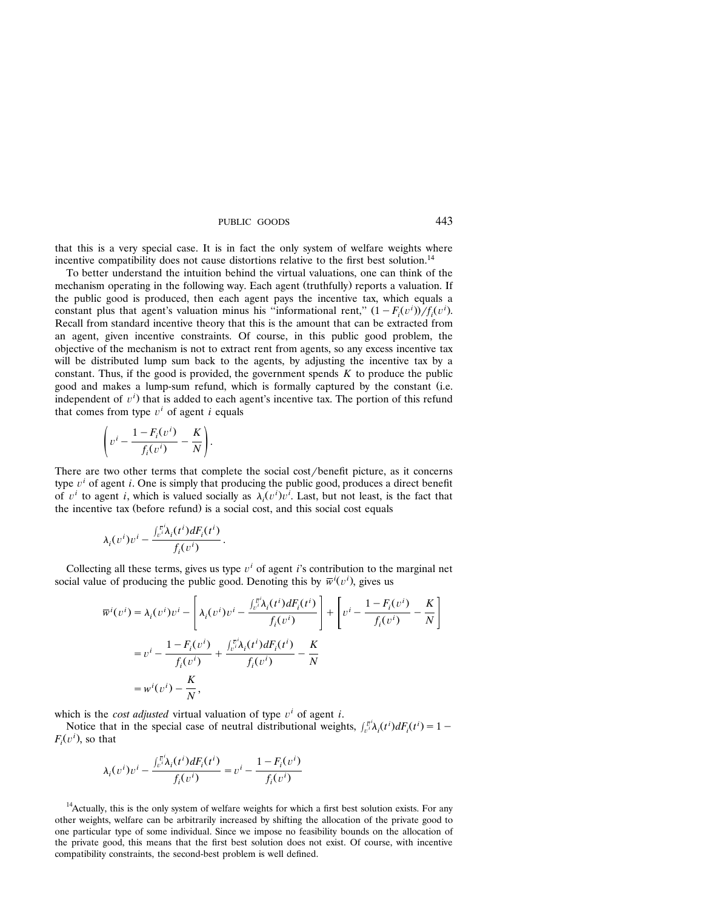that this is a very special case. It is in fact the only system of welfare weights where incentive compatibility does not cause distortions relative to the first best solution.<sup>14</sup>

To better understand the intuition behind the virtual valuations, one can think of the mechanism operating in the following way. Each agent (truthfully) reports a valuation. If the public good is produced, then each agent pays the incentive tax, which equals a constant plus that agent's valuation minus his "informational rent,"  $(1 - F_i(v^i)) / f_i(v^i)$ . Recall from standard incentive theory that this is the amount that can be extracted from an agent, given incentive constraints. Of course, in this public good problem, the objective of the mechanism is not to extract rent from agents, so any excess incentive tax will be distributed lump sum back to the agents, by adjusting the incentive tax by a constant. Thus, if the good is provided, the government spends *K* to produce the public good and makes a lump-sum refund, which is formally captured by the constant (i.e. independent of  $v^i$ ) that is added to each agent's incentive tax. The portion of this refund that comes from type  $v^i$  of agent *i* equals

$$
\left(v^i - \frac{1 - F_i(v^i)}{f_i(v^i)} - \frac{K}{N}\right).
$$

There are two other terms that complete the social cost/benefit picture, as it concerns type  $v^i$  of agent *i*. One is simply that producing the public good, produces a direct benefit of  $v^i$  to agent *i*, which is valued socially as  $\lambda_i(v^i)v^i$ . Last, but not least, is the fact that the incentive tax (before refund) is a social cost, and this social cost equals

$$
\lambda_i(v^i)v^i - \frac{\int_{v^i}^{\bar{v}^i}\lambda_i(t^i)dF_i(t^i)}{f_i(v^i)}.
$$

Collecting all these terms, gives us type  $v^i$  of agent *i*'s contribution to the marginal net social value of producing the public good. Denoting this by  $\overline{w}^i(v^i)$ , gives us

$$
\overline{w}^{i}(v^{i}) = \lambda_{i}(v^{i})v^{i} - \left[\lambda_{i}(v^{i})v^{i} - \frac{\int_{v^{i}}^{v^{i}} \lambda_{i}(t^{i})dF_{i}(t^{i})}{f_{i}(v^{i})}\right] + \left[v^{i} - \frac{1 - F_{i}(v^{i})}{f_{i}(v^{i})} - \frac{K}{N}\right]
$$
\n
$$
= v^{i} - \frac{1 - F_{i}(v^{i})}{f_{i}(v^{i})} + \frac{\int_{v^{i}}^{v^{i}} \lambda_{i}(t^{i})dF_{i}(t^{i})}{f_{i}(v^{i})} - \frac{K}{N}
$$
\n
$$
= w^{i}(v^{i}) - \frac{K}{N},
$$

which is the *cost adjusted* virtual valuation of type  $v^i$  of agent *i*.

Notice that in the special case of neutral distributional weights,  $\int_{v_i}^{\bar{v}^i} \lambda_i(t^i) dF_i(t^i) = 1 F_i(v^i)$ , so that

$$
\lambda_i(v^i)v^i - \frac{\int_{v'}^{v_i'} \lambda_i(t^i) dF_i(t^i)}{f_i(v^i)} = v^i - \frac{1 - F_i(v^i)}{f_i(v^i)}
$$

 $14$ Actually, this is the only system of welfare weights for which a first best solution exists. For any other weights, welfare can be arbitrarily increased by shifting the allocation of the private good to one particular type of some individual. Since we impose no feasibility bounds on the allocation of the private good, this means that the first best solution does not exist. Of course, with incentive compatibility constraints, the second-best problem is well defined.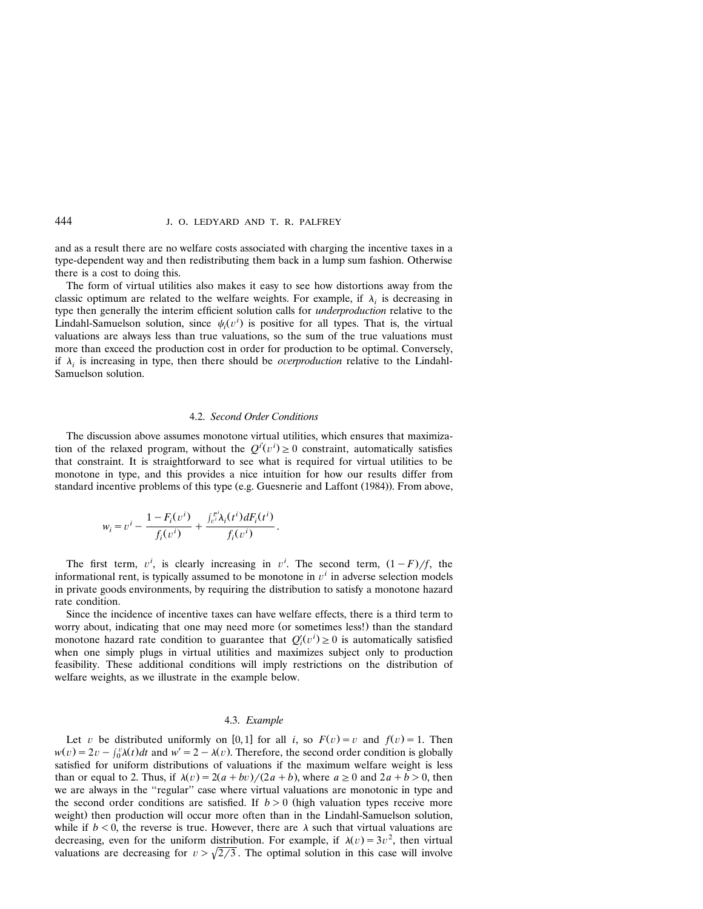and as a result there are no welfare costs associated with charging the incentive taxes in a type-dependent way and then redistributing them back in a lump sum fashion. Otherwise there is a cost to doing this.

The form of virtual utilities also makes it easy to see how distortions away from the classic optimum are related to the welfare weights. For example, if  $\lambda_i$  is decreasing in type then generally the interim efficient solution calls for *underproduction* relative to the Lindahl-Samuelson solution, since  $\psi_i(v^i)$  is positive for all types. That is, the virtual valuations are always less than true valuations, so the sum of the true valuations must more than exceed the production cost in order for production to be optimal. Conversely, if  $\lambda_i$  is increasing in type, then there should be *overproduction* relative to the Lindahl-Samuelson solution.

### 4.2. *Second Order Conditions*

The discussion above assumes monotone virtual utilities, which ensures that maximiza tion of the relaxed program, without the  $Q^{i'}(v^{i}) \ge 0$  constraint, automatically satisfies that constraint. It is straightforward to see what is required for virtual utilities to be monotone in type, and this provides a nice intuition for how our results differ from standard incentive problems of this type (e.g. Guesnerie and Laffont (1984)). From above,

$$
w_i = v^i - \frac{1 - F_i(v^i)}{f_i(v^i)} + \frac{\int_{v^i}^{T_i^i} \lambda_i(t^i) dF_i(t^i)}{f_i(v^i)}.
$$

The first term,  $v^i$ , is clearly increasing in  $v^i$ . The second term,  $(1 - F)/f$ , the informational rent, is typically assumed to be monotone in  $v^i$  in adverse selection models in private goods environments, by requiring the distribution to satisfy a monotone hazard rate condition.

Since the incidence of incentive taxes can have welfare effects, there is a third term to worry about, indicating that one may need more (or sometimes less!) than the standard monotone hazard rate condition to guarantee that  $Q'_i(v^i) \geq 0$  is automatically satisfied when one simply plugs in virtual utilities and maximizes subject only to production feasibility. These additional conditions will imply restrictions on the distribution of welfare weights, as we illustrate in the example below.

## 4.3. *Example*

Let v be distributed uniformly on [0,1] for all i, so  $F(v) = v$  and  $f(v) = 1$ . Then  $w(v) = 2v - \int_0^v \lambda(t) dt$  and  $w' = 2 - \lambda(v)$ . Therefore, the second order condition is globally satisfied for uniform distributions of valuations if the maximum welfare weight is less than or equal to 2. Thus, if  $\lambda(v) = 2(a + bv)/(2a + b)$ , where  $a \ge 0$  and  $2a + b > 0$ , then we are always in the ''regular'' case where virtual valuations are monotonic in type and the second order conditions are satisfied. If  $b > 0$  (high valuation types receive more weight) then production will occur more often than in the Lindahl-Samuelson solution, while if  $b < 0$ , the reverse is true. However, there are  $\lambda$  such that virtual valuations are decreasing, even for the uniform distribution. For example, if  $\lambda(v) = 3v^2$ , then virtual valuations are decreasing for  $v > \sqrt{2/3}$ . The optimal solution in this case will involve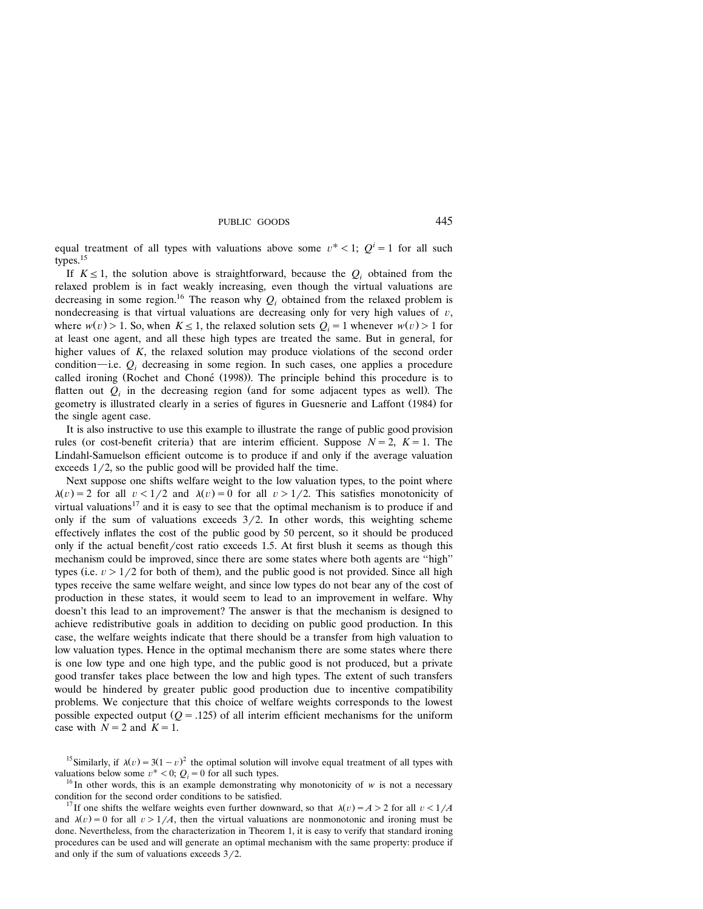equal treatment of all types with valuations above some  $v^* < 1$ ;  $Q^i = 1$  for all such types.15

If  $K \leq 1$ , the solution above is straightforward, because the  $Q_i$  obtained from the relaxed problem is in fact weakly increasing, even though the virtual valuations are decreasing in some region.<sup>16</sup> The reason why  $Q_i$  obtained from the relaxed problem is nondecreasing is that virtual valuations are decreasing only for very high values of  $v$ , where  $w(v) > 1$ . So, when  $K \le 1$ , the relaxed solution sets  $Q_i = 1$  whenever  $w(v) > 1$  for at least one agent, and all these high types are treated the same. But in general, for higher values of *K*, the relaxed solution may produce violations of the second order condition—i.e.  $Q_i$  decreasing in some region. In such cases, one applies a procedure called ironing (Rochet and Choné (1998)). The principle behind this procedure is to flatten out  $Q_i$  in the decreasing region (and for some adjacent types as well). The geometry is illustrated clearly in a series of figures in Guesnerie and Laffont (1984) for the single agent case.

It is also instructive to use this example to illustrate the range of public good provision rules (or cost-benefit criteria) that are interim efficient. Suppose  $N = 2$ ,  $K = 1$ . The Lindahl-Samuelson efficient outcome is to produce if and only if the average valuation exceeds  $1/2$ , so the public good will be provided half the time.

Next suppose one shifts welfare weight to the low valuation types, to the point where  $\lambda(v) = 2$  for all  $v < 1/2$  and  $\lambda(v) = 0$  for all  $v > 1/2$ . This satisfies monotonicity of virtual valuations $17$  and it is easy to see that the optimal mechanism is to produce if and only if the sum of valuations exceeds  $3/2$ . In other words, this weighting scheme effectively inflates the cost of the public good by 50 percent, so it should be produced only if the actual benefit/cost ratio exceeds 1.5. At first blush it seems as though this mechanism could be improved, since there are some states where both agents are ''high'' types (i.e.  $\nu > 1/2$  for both of them), and the public good is not provided. Since all high types receive the same welfare weight, and since low types do not bear any of the cost of production in these states, it would seem to lead to an improvement in welfare. Why doesn't this lead to an improvement? The answer is that the mechanism is designed to achieve redistributive goals in addition to deciding on public good production. In this case, the welfare weights indicate that there should be a transfer from high valuation to low valuation types. Hence in the optimal mechanism there are some states where there is one low type and one high type, and the public good is not produced, but a private good transfer takes place between the low and high types. The extent of such transfers would be hindered by greater public good production due to incentive compatibility problems. We conjecture that this choice of welfare weights corresponds to the lowest possible expected output  $(Q = .125)$  of all interim efficient mechanisms for the uniform case with  $N=2$  and  $K=1$ .

<sup>15</sup> Similarly, if  $\lambda(v) = 3(1 - v)^2$  the optimal solution will involve equal treatment of all types with valuations below some  $v^* < 0$ ;  $Q_i = 0$  for all such types.

<sup>16</sup>In other words, this is an example demonstrating why monotonicity of *w* is not a necessary condition for the second order conditions to be satisfied.

condition for the second order conditions to be satisfied.<br><sup>17</sup> If one shifts the welfare weights even further downward, so that  $\lambda(v) = A > 2$  for all  $v < 1/A$ and  $\lambda(v) = 0$  for all  $v > 1/A$ , then the virtual valuations are nonmonotonic and ironing must be done. Nevertheless, from the characterization in Theorem 1, it is easy to verify that standard ironing procedures can be used and will generate an optimal mechanism with the same property: produce if and only if the sum of valuations exceeds  $3/2$ .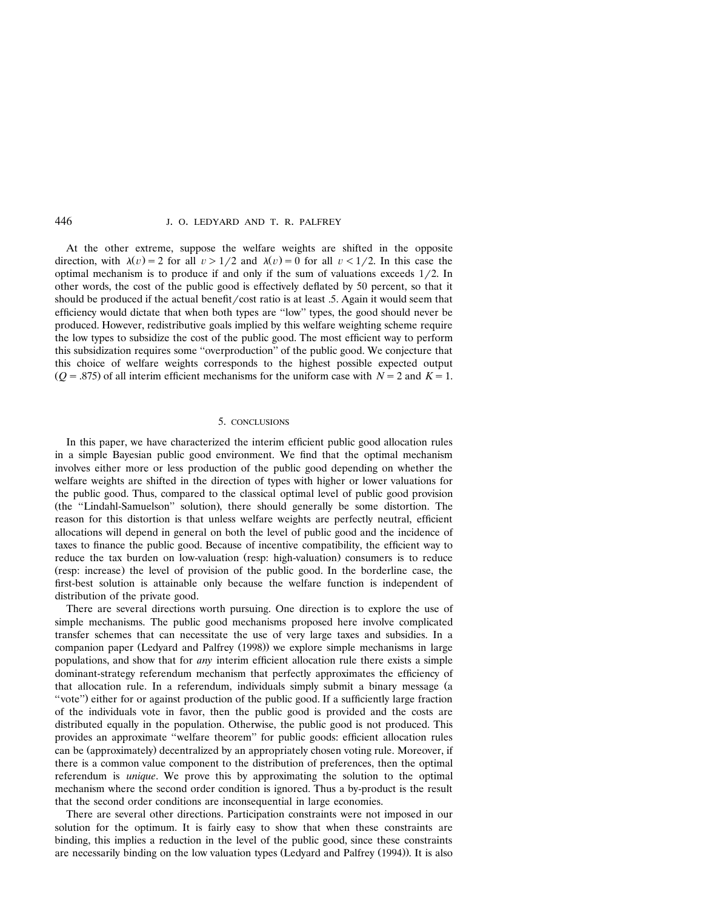At the other extreme, suppose the welfare weights are shifted in the opposite direction, with  $\lambda(v) = 2$  for all  $v > 1/2$  and  $\lambda(v) = 0$  for all  $v < 1/2$ . In this case the optimal mechanism is to produce if and only if the sum of valuations exceeds  $1/2$ . In other words, the cost of the public good is effectively deflated by 50 percent, so that it should be produced if the actual benefit/cost ratio is at least  $.5.$  Again it would seem that efficiency would dictate that when both types are ''low'' types, the good should never be produced. However, redistributive goals implied by this welfare weighting scheme require the low types to subsidize the cost of the public good. The most efficient way to perform this subsidization requires some ''overproduction'' of the public good. We conjecture that this choice of welfare weights corresponds to the highest possible expected output  $(Q = .875)$  of all interim efficient mechanisms for the uniform case with  $N = 2$  and  $K = 1$ .

## 5. CONCLUSIONS

In this paper, we have characterized the interim efficient public good allocation rules in a simple Bayesian public good environment. We find that the optimal mechanism involves either more or less production of the public good depending on whether the welfare weights are shifted in the direction of types with higher or lower valuations for the public good. Thus, compared to the classical optimal level of public good provision (the "Lindahl-Samuelson" solution), there should generally be some distortion. The reason for this distortion is that unless welfare weights are perfectly neutral, efficient allocations will depend in general on both the level of public good and the incidence of taxes to finance the public good. Because of incentive compatibility, the efficient way to reduce the tax burden on low-valuation (resp: high-valuation) consumers is to reduce (resp: increase) the level of provision of the public good. In the borderline case, the first-best solution is attainable only because the welfare function is independent of distribution of the private good.

There are several directions worth pursuing. One direction is to explore the use of simple mechanisms. The public good mechanisms proposed here involve complicated transfer schemes that can necessitate the use of very large taxes and subsidies. In a companion paper (Ledyard and Palfrey (1998)) we explore simple mechanisms in large populations, and show that for *any* interim efficient allocation rule there exists a simple dominant-strategy referendum mechanism that perfectly approximates the efficiency of that allocation rule. In a referendum, individuals simply submit a binary message (a "vote") either for or against production of the public good. If a sufficiently large fraction of the individuals vote in favor, then the public good is provided and the costs are distributed equally in the population. Otherwise, the public good is not produced. This provides an approximate ''welfare theorem'' for public goods: efficient allocation rules can be (approximately) decentralized by an appropriately chosen voting rule. Moreover, if there is a common value component to the distribution of preferences, then the optimal referendum is *unique*. We prove this by approximating the solution to the optimal mechanism where the second order condition is ignored. Thus a by-product is the result that the second order conditions are inconsequential in large economies.

There are several other directions. Participation constraints were not imposed in our solution for the optimum. It is fairly easy to show that when these constraints are binding, this implies a reduction in the level of the public good, since these constraints are necessarily binding on the low valuation types (Ledyard and Palfrey (1994)). It is also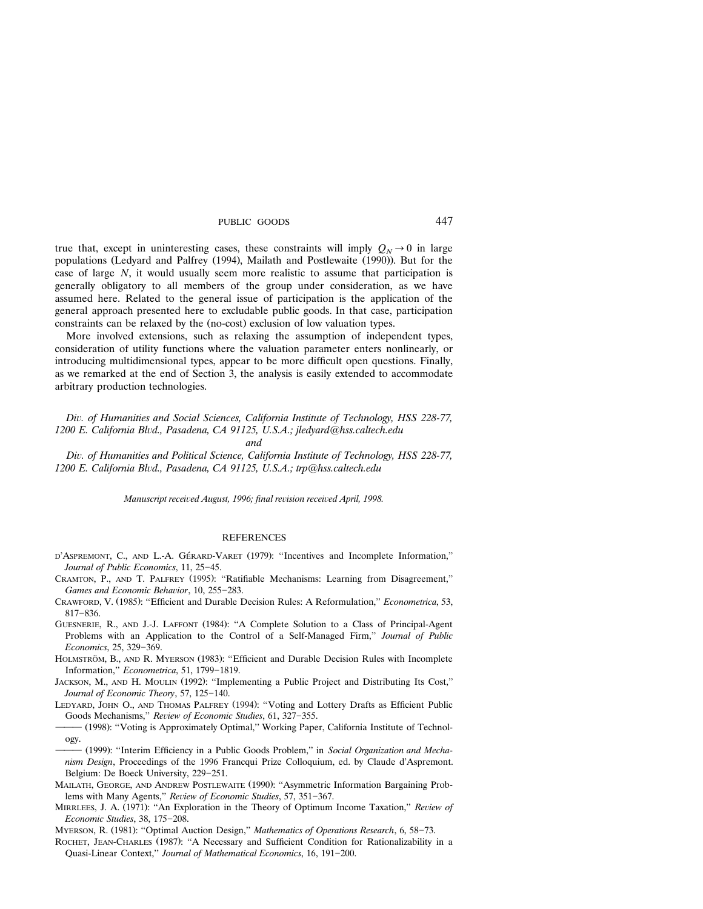true that, except in uninteresting cases, these constraints will imply  $Q_N \rightarrow 0$  in large populations (Ledyard and Palfrey (1994), Mailath and Postlewaite (1990)). But for the case of large *N*, it would usually seem more realistic to assume that participation is generally obligatory to all members of the group under consideration, as we have assumed here. Related to the general issue of participation is the application of the general approach presented here to excludable public goods. In that case, participation constraints can be relaxed by the (no-cost) exclusion of low valuation types.

More involved extensions, such as relaxing the assumption of independent types, consideration of utility functions where the valuation parameter enters nonlinearly, or introducing multidimensional types, appear to be more difficult open questions. Finally, as we remarked at the end of Section 3, the analysis is easily extended to accommodate arbitrary production technologies.

*Di. of Humanities and Social Sciences, California Institute of Technology, HSS 228-77, 1200 E. California Bld., Pasadena, CA 91125, U.S.A.; jledyard*@*hss.caltech.edu*

*and*

*Di. of Humanities and Political Science, California Institute of Technology, HSS 228-77, 1200 E. California Bld., Pasadena, CA 91125, U.S.A.; trp*@*hss.caltech.edu*

*Manuscript receied August, 1996; final reision receied April, 1998.*

#### **REFERENCES**

- D'ASPREMONT, C., AND L.-A. GÉRARD-VARET (1979): "Incentives and Incomplete Information," Journal of Public Economics, 11, 25-45.
- CRAMTON, P., AND T. PALFREY (1995): "Ratifiable Mechanisms: Learning from Disagreement," Games and Economic Behavior, 10, 255-283.
- CRAWFORD, V. (1985): "Efficient and Durable Decision Rules: A Reformulation," *Econometrica*, 53, 817-836.
- GUESNERIE, R., AND J.-J. LAFFONT (1984): "A Complete Solution to a Class of Principal-Agent Problems with an Application to the Control of a Self-Managed Firm,'' *Journal of Public Economics*, 25, 329-369.

HOLMSTRÖM, B., AND R. MYERSON (1983): "Efficient and Durable Decision Rules with Incomplete Information," *Econometrica*, 51, 1799-1819.

- JACKSON, M., AND H. MOULIN (1992): "Implementing a Public Project and Distributing Its Cost," *Journal of Economic Theory*, 57, 125-140.
- LEDYARD, JOHN O., AND THOMAS PALFREY (1994): "Voting and Lottery Drafts as Efficient Public Goods Mechanisms," *Review of Economic Studies*, 61, 327-355.

--— (1998): "Voting is Approximately Optimal," Working Paper, California Institute of Technology.

--- (1999): "Interim Efficiency in a Public Goods Problem," in *Social Organization and Mechanism Design*, Proceedings of the 1996 Francqui Prize Colloquium, ed. by Claude d'Aspremont. Belgium: De Boeck University, 229-251.

- MAILATH, GEORGE, AND ANDREW POSTLEWAITE (1990): "Asymmetric Information Bargaining Problems with Many Agents," *Review of Economic Studies*, 57, 351-367.
- MIRRLEES, J. A. (1971): "An Exploration in the Theory of Optimum Income Taxation," Review of *Economic Studies*, 38, 175-208.
- MYERSON, R. (1981): "Optimal Auction Design," *Mathematics of Operations Research*, 6, 58–73.
- ROCHET, JEAN-CHARLES (1987): "A Necessary and Sufficient Condition for Rationalizability in a Quasi-Linear Context," *Journal of Mathematical Economics*, 16, 191-200.